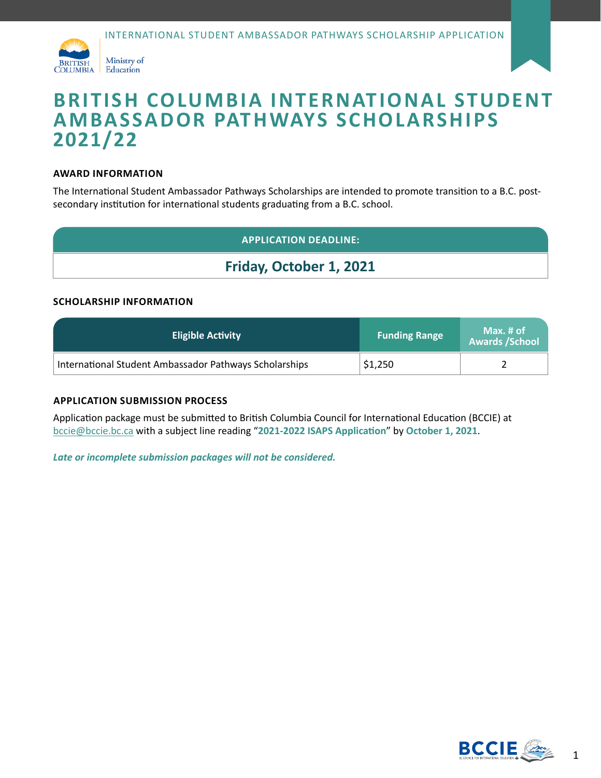



# **BRITISH COLUMBIA INTERNATIONAL STUDENT AMBASSADOR PATHWAYS SCHOLARSHIPS 2021/22**

#### **AWARD INFORMATION**

The International Student Ambassador Pathways Scholarships are intended to promote transition to a B.C. postsecondary institution for international students graduating from a B.C. school.

### **APPLICATION DEADLINE:**

# **Friday, October 1, 2021**

#### **SCHOLARSHIP INFORMATION**

| <b>Eligible Activity</b>                               | <b>Funding Range</b> | Max. # of<br><b>Awards / School</b> |
|--------------------------------------------------------|----------------------|-------------------------------------|
| International Student Ambassador Pathways Scholarships | \$1,250              |                                     |

#### **APPLICATION SUBMISSION PROCESS**

Application package must be submitted to British Columbia Council for International Education (BCCIE) at [bccie@bccie.bc.ca](mailto:bccie%40bccie.bc.ca?subject=) with a subject line reading "**2021-2022 ISAPS Application**" by **October 1, 2021**.

*Late or incomplete submission packages will not be considered.*